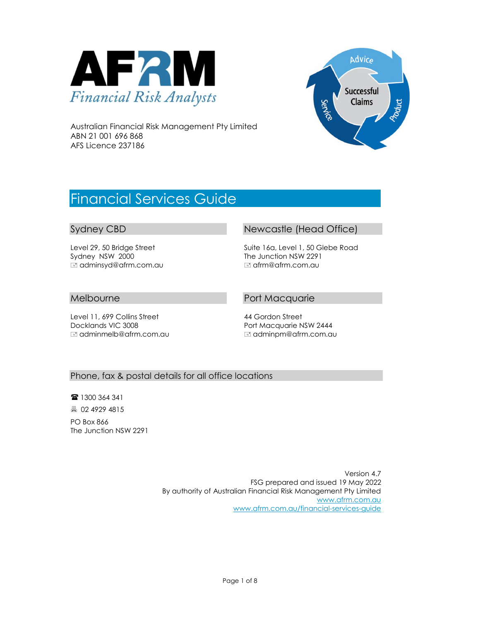



Australian Financial Risk Management Pty Limited ABN 21 001 696 868 AFS Licence 237186

# Financial Services Guide

#### Sydney CBD

Level 29, 50 Bridge Street Sydney NSW 2000 adminsyd@afrm.com.au

#### Melbourne

Level 11, 699 Collins Street Docklands VIC 3008 adminmelb@afrm.com.au

#### Newcastle (Head Office)

Suite 16a, Level 1, 50 Glebe Road The Junction NSW 2291 afrm@afrm.com.au

#### Port Macquarie

44 Gordon Street Port Macquarie NSW 2444 adminpm@afrm.com.au

#### Phone, fax & postal details for all office locations

■ 1300 364 341 02 4929 4815

PO Box 866 The Junction NSW 2291

> Version 4.7 FSG prepared and issued 19 May 2022 By authority of Australian Financial Risk Management Pty Limited [www.afrm.com.au](http://www.afrm.com.au/) [www.afrm.com.au/financial-services-guide](http://www.afrm.com.au/financial-services-guide)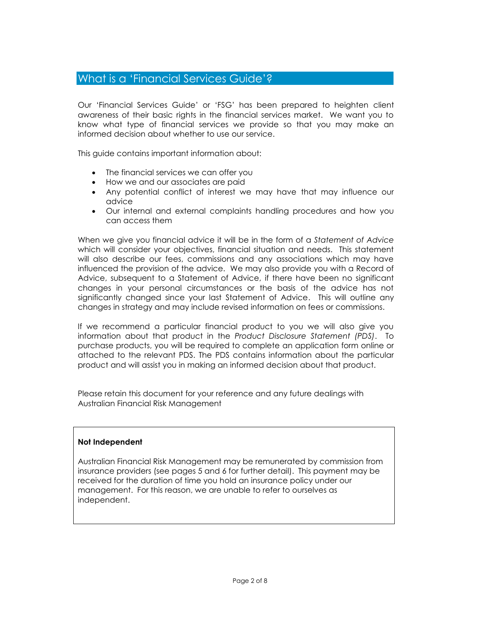### What is a 'Financial Services Guide'?

Our 'Financial Services Guide' or 'FSG' has been prepared to heighten client awareness of their basic rights in the financial services market. We want you to know what type of financial services we provide so that you may make an informed decision about whether to use our service.

This guide contains important information about:

- The financial services we can offer you
- How we and our associates are paid
- Any potential conflict of interest we may have that may influence our advice
- Our internal and external complaints handling procedures and how you can access them

When we give you financial advice it will be in the form of a *Statement of Advice*  which will consider your objectives, financial situation and needs. This statement will also describe our fees, commissions and any associations which may have influenced the provision of the advice. We may also provide you with a Record of Advice, subsequent to a Statement of Advice, if there have been no significant changes in your personal circumstances or the basis of the advice has not significantly changed since your last Statement of Advice. This will outline any changes in strategy and may include revised information on fees or commissions.

If we recommend a particular financial product to you we will also give you information about that product in the *Product Disclosure Statement (PDS)*. To purchase products, you will be required to complete an application form online or attached to the relevant PDS. The PDS contains information about the particular product and will assist you in making an informed decision about that product.

Please retain this document for your reference and any future dealings with Australian Financial Risk Management

#### **Not Independent**

Australian Financial Risk Management may be remunerated by commission from insurance providers (see pages 5 and 6 for further detail). This payment may be received for the duration of time you hold an insurance policy under our management. For this reason, we are unable to refer to ourselves as independent.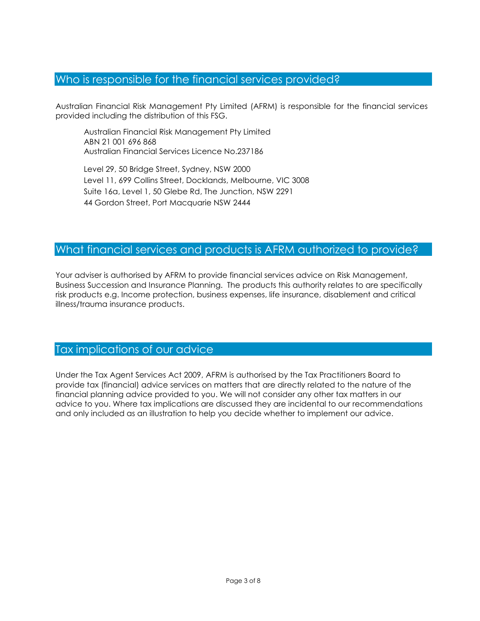# Who is responsible for the financial services provided?

Australian Financial Risk Management Pty Limited (AFRM) is responsible for the financial services provided including the distribution of this FSG.

Australian Financial Risk Management Pty Limited ABN 21 001 696 868 Australian Financial Services Licence No.237186

Level 29, 50 Bridge Street, Sydney, NSW 2000 Level 11, 699 Collins Street, Docklands, Melbourne, VIC 3008 Suite 16a, Level 1, 50 Glebe Rd, The Junction, NSW 2291 44 Gordon Street, Port Macquarie NSW 2444

#### What financial services and products is AFRM authorized to provide?

Your adviser is authorised by AFRM to provide financial services advice on Risk Management, Business Succession and Insurance Planning. The products this authority relates to are specifically risk products e.g. Income protection, business expenses, life insurance, disablement and critical illness/trauma insurance products.

## Tax implications of our advice

Under the Tax Agent Services Act 2009, AFRM is authorised by the Tax Practitioners Board to provide tax (financial) advice services on matters that are directly related to the nature of the financial planning advice provided to you. We will not consider any other tax matters in our advice to you. Where tax implications are discussed they are incidental to our recommendations and only included as an illustration to help you decide whether to implement our advice.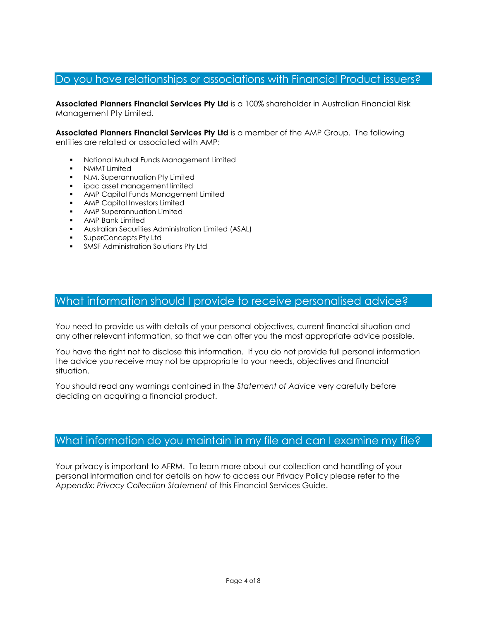# Do you have relationships or associations with Financial Product issuers?

**Associated Planners Financial Services Pty Ltd** is a 100% shareholder in Australian Financial Risk Management Pty Limited.

**Associated Planners Financial Services Pty Ltd** is a member of the AMP Group. The following entities are related or associated with AMP:

- National Mutual Funds Management Limited
- **NMMT Limited**
- N.M. Superannuation Pty Limited
- ipac asset management limited
- AMP Capital Funds Management Limited
- AMP Capital Investors Limited
- AMP Superannuation Limited
- AMP Bank Limited
- Australian Securities Administration Limited (ASAL)
- SuperConcepts Pty Ltd
- **SMSF Administration Solutions Pty Ltd**

# What information should I provide to receive personalised advice?

You need to provide us with details of your personal objectives, current financial situation and any other relevant information, so that we can offer you the most appropriate advice possible.

You have the right not to disclose this information. If you do not provide full personal information the advice you receive may not be appropriate to your needs, objectives and financial situation.

You should read any warnings contained in the *Statement of Advice* very carefully before deciding on acquiring a financial product.

# What information do you maintain in my file and can I examine my file?

Your privacy is important to AFRM. To learn more about our collection and handling of your personal information and for details on how to access our Privacy Policy please refer to the *Appendix: Privacy Collection Statement* of this Financial Services Guide.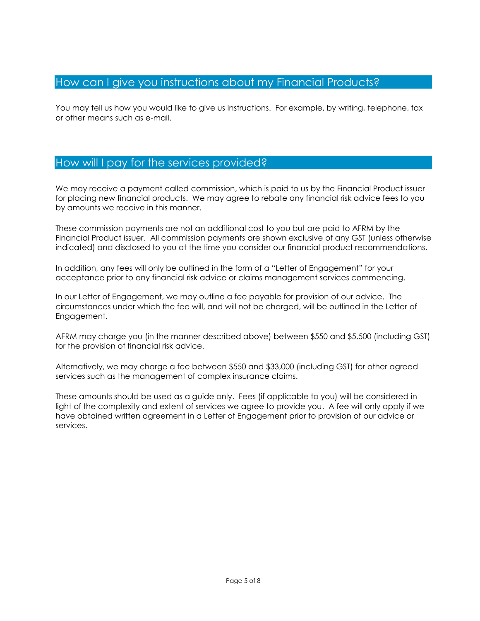### How can I give you instructions about my Financial Products?

You may tell us how you would like to give us instructions. For example, by writing, telephone, fax or other means such as e-mail.

### How will I pay for the services provided?

We may receive a payment called commission, which is paid to us by the Financial Product issuer for placing new financial products. We may agree to rebate any financial risk advice fees to you by amounts we receive in this manner.

These commission payments are not an additional cost to you but are paid to AFRM by the Financial Product issuer. All commission payments are shown exclusive of any GST (unless otherwise indicated) and disclosed to you at the time you consider our financial product recommendations.

In addition, any fees will only be outlined in the form of a "Letter of Engagement" for your acceptance prior to any financial risk advice or claims management services commencing.

In our Letter of Engagement, we may outline a fee payable for provision of our advice. The circumstances under which the fee will, and will not be charged, will be outlined in the Letter of Engagement.

AFRM may charge you (in the manner described above) between \$550 and \$5,500 (including GST) for the provision of financial risk advice.

Alternatively, we may charge a fee between \$550 and \$33,000 (including GST) for other agreed services such as the management of complex insurance claims.

These amounts should be used as a guide only. Fees (if applicable to you) will be considered in light of the complexity and extent of services we agree to provide you. A fee will only apply if we have obtained written agreement in a Letter of Engagement prior to provision of our advice or services.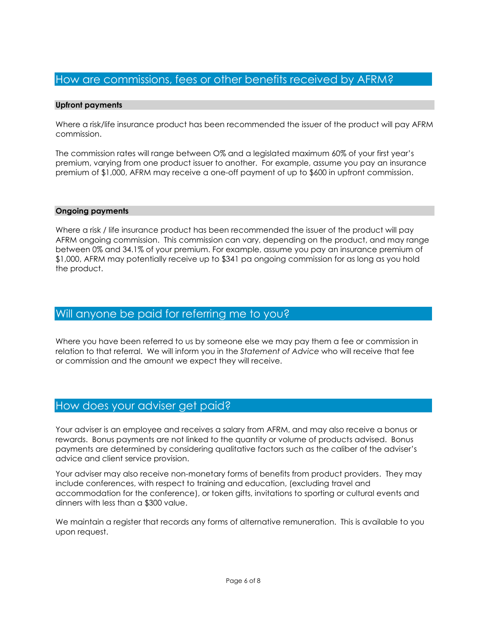### How are commissions, fees or other benefits received by AFRM?

#### **Upfront payments**

Where a risk/life insurance product has been recommended the issuer of the product will pay AFRM commission.

The commission rates will range between O% and a legislated maximum 60% of your first year's premium, varying from one product issuer to another. For example, assume you pay an insurance premium of \$1,000, AFRM may receive a one-off payment of up to \$600 in upfront commission.

#### **Ongoing payments**

Where a risk / life insurance product has been recommended the issuer of the product will pay AFRM ongoing commission. This commission can vary, depending on the product, and may range between 0% and 34.1% of your premium. For example, assume you pay an insurance premium of \$1,000, AFRM may potentially receive up to \$341 pa ongoing commission for as long as you hold the product.

#### Will anyone be paid for referring me to you?

Where you have been referred to us by someone else we may pay them a fee or commission in relation to that referral. We will inform you in the *Statement of Advice* who will receive that fee or commission and the amount we expect they will receive.

#### How does your adviser get paid?

Your adviser is an employee and receives a salary from AFRM, and may also receive a bonus or rewards. Bonus payments are not linked to the quantity or volume of products advised. Bonus payments are determined by considering qualitative factors such as the caliber of the adviser's advice and client service provision.

Your adviser may also receive non-monetary forms of benefits from product providers. They may include conferences, with respect to training and education, (excluding travel and accommodation for the conference), or token gifts, invitations to sporting or cultural events and dinners with less than a \$300 value.

We maintain a register that records any forms of alternative remuneration. This is available to you upon request.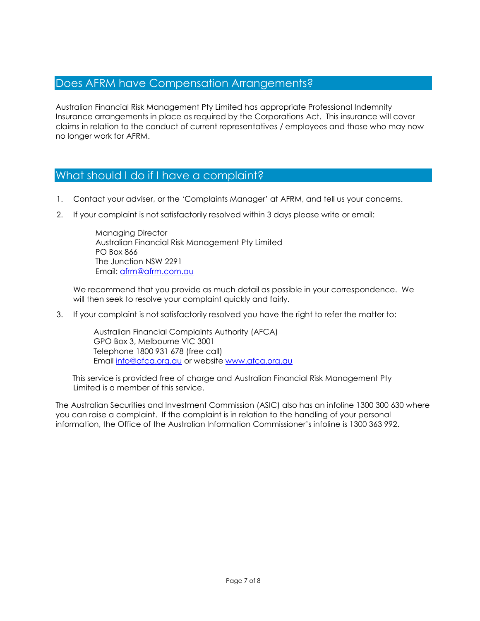# Does AFRM have Compensation Arrangements?

Australian Financial Risk Management Pty Limited has appropriate Professional Indemnity Insurance arrangements in place as required by the Corporations Act. This insurance will cover claims in relation to the conduct of current representatives / employees and those who may now no longer work for AFRM.

# What should I do if I have a complaint?

- 1. Contact your adviser, or the 'Complaints Manager' at AFRM, and tell us your concerns.
- 2. If your complaint is not satisfactorily resolved within 3 days please write or email:

Managing Director Australian Financial Risk Management Pty Limited PO Box 866 The Junction NSW 2291 Email: [afrm@afrm.com.au](mailto:afrm@afrm.com.au)

We recommend that you provide as much detail as possible in your correspondence. We will then seek to resolve your complaint quickly and fairly.

3. If your complaint is not satisfactorily resolved you have the right to refer the matter to:

Australian Financial Complaints Authority (AFCA) GPO Box 3, Melbourne VIC 3001 Telephone 1800 931 678 (free call) Emai[l info@afca.org.au](mailto:info@afca.org.au) or website [www.afca.org.au](http://www.afca.org.au/)

This service is provided free of charge and Australian Financial Risk Management Pty Limited is a member of this service.

The Australian Securities and Investment Commission (ASIC) also has an infoline 1300 300 630 where you can raise a complaint. If the complaint is in relation to the handling of your personal information, the Office of the Australian Information Commissioner's infoline is 1300 363 992.